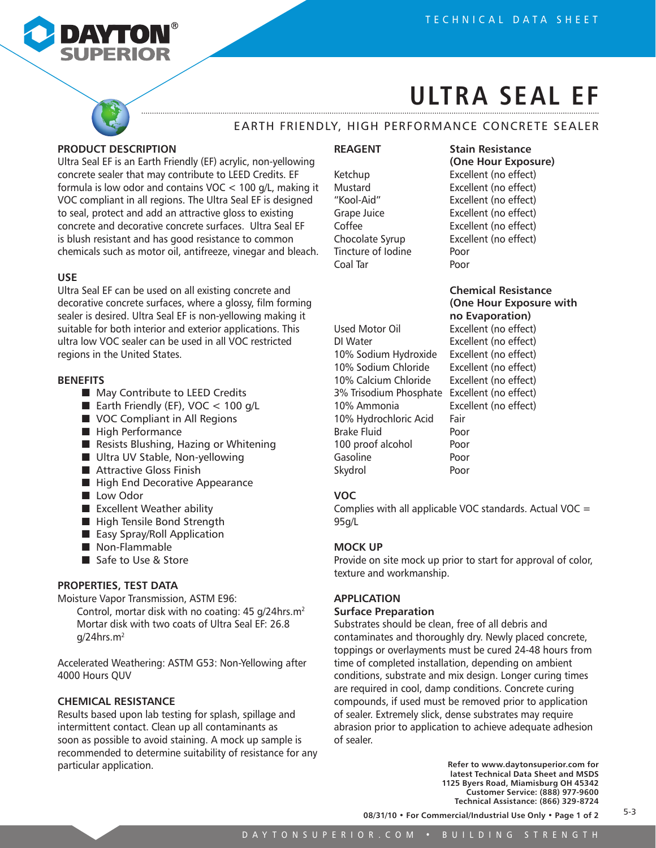

## **Ultra Seal EF**

## Earth Friendly, High Performance Concrete Sealer

#### **PRODUCT DESCRIPTION**

Ultra Seal EF is an Earth Friendly (EF) acrylic, non-yellowing concrete sealer that may contribute to LEED Credits. EF formula is low odor and contains VOC < 100 g/L, making it VOC compliant in all regions. The Ultra Seal EF is designed to seal, protect and add an attractive gloss to existing concrete and decorative concrete surfaces. Ultra Seal EF is blush resistant and has good resistance to common chemicals such as motor oil, antifreeze, vinegar and bleach.

#### **USE**

Ultra Seal EF can be used on all existing concrete and decorative concrete surfaces, where a glossy, film forming sealer is desired. Ultra Seal EF is non-yellowing making it suitable for both interior and exterior applications. This ultra low VOC sealer can be used in all VOC restricted regions in the United States.

#### **BENEFITS**

- May Contribute to LEED Credits
- Earth Friendly (EF),  $VOC < 100$  g/L
- VOC Compliant in All Regions
- High Performance
- Resists Blushing, Hazing or Whitening
- Ultra UV Stable, Non-yellowing
- Attractive Gloss Finish
- High End Decorative Appearance
- Low Odor
- Excellent Weather ability
- High Tensile Bond Strength
- Easy Spray/Roll Application
- Non-Flammable
- Safe to Use & Store

#### **PROPERTIES, TEST DATA**

Moisture Vapor Transmission, ASTM E96:

Control, mortar disk with no coating: 45 g/24hrs.m2 Mortar disk with two coats of Ultra Seal EF: 26.8 g/24hrs.m2

Accelerated Weathering: ASTM G53: Non-Yellowing after 4000 Hours QUV

#### **CHEMICAL RESISTANCE**

Results based upon lab testing for splash, spillage and intermittent contact. Clean up all contaminants as soon as possible to avoid staining. A mock up sample is recommended to determine suitability of resistance for any particular application.

#### **REAGENT Stain Resistance**

Tincture of Iodine Poor Coal Tar **Poor** 

### **(One Hour Exposure)** Ketchup Excellent (no effect) Mustard Excellent (no effect) "Kool-Aid" Excellent (no effect) Grape Juice Excellent (no effect) Coffee Excellent (no effect) Chocolate Syrup Excellent (no effect)

Used Motor Oil Excellent (no effect) DI Water **Excellent** (no effect) 10% Sodium Hydroxide Excellent (no effect) 10% Sodium Chloride Excellent (no effect) 10% Calcium Chloride Excellent (no effect) 3% Trisodium Phosphate Excellent (no effect) 10% Ammonia Excellent (no effect) 10% Hydrochloric Acid Fair Brake Fluid Poor 100 proof alcohol Poor Gasoline Poor Skydrol Poor

# **Chemical Resistance (One Hour Exposure with no Evaporation)**

#### **VOC**

Complies with all applicable VOC standards. Actual VOC  $=$ 95g/L

#### **MOCK UP**

Provide on site mock up prior to start for approval of color, texture and workmanship.

#### **APPLICATION**

#### **Surface Preparation**

Substrates should be clean, free of all debris and contaminates and thoroughly dry. Newly placed concrete, toppings or overlayments must be cured 24-48 hours from time of completed installation, depending on ambient conditions, substrate and mix design. Longer curing times are required in cool, damp conditions. Concrete curing compounds, if used must be removed prior to application of sealer. Extremely slick, dense substrates may require abrasion prior to application to achieve adequate adhesion of sealer.

> **Refer to www.daytonsuperior.com for latest Technical Data Sheet and MSDS 1125 Byers Road, Miamisburg OH 45342 Customer Service: (888) 977-9600 Technical Assistance: (866) 329-8724**